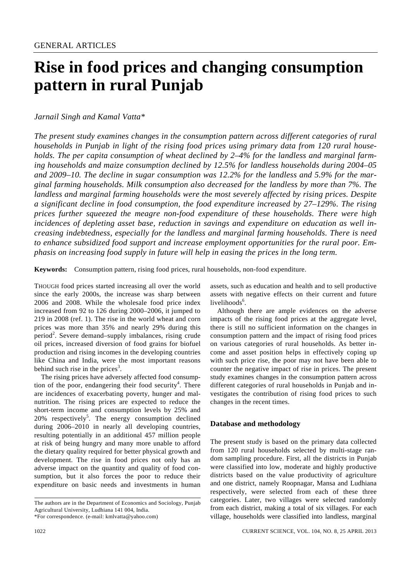# **Rise in food prices and changing consumption pattern in rural Punjab**

# *Jarnail Singh and Kamal Vatta\**

*The present study examines changes in the consumption pattern across different categories of rural households in Punjab in light of the rising food prices using primary data from 120 rural households. The per capita consumption of wheat declined by 2–4% for the landless and marginal farming households and maize consumption declined by 12.5% for landless households during 2004–05 and 2009–10. The decline in sugar consumption was 12.2% for the landless and 5.9% for the marginal farming households. Milk consumption also decreased for the landless by more than 7%. The landless and marginal farming households were the most severely affected by rising prices. Despite a significant decline in food consumption, the food expenditure increased by 27–129%. The rising prices further squeezed the meagre non-food expenditure of these households. There were high incidences of depleting asset base, reduction in savings and expenditure on education as well increasing indebtedness, especially for the landless and marginal farming households. There is need to enhance subsidized food support and increase employment opportunities for the rural poor. Emphasis on increasing food supply in future will help in easing the prices in the long term.*

**Keywords:** Consumption pattern, rising food prices, rural households, non-food expenditure.

THOUGH food prices started increasing all over the world since the early 2000s, the increase was sharp between 2006 and 2008. While the wholesale food price index increased from 92 to 126 during 2000–2006, it jumped to 219 in 2008 (ref. 1). The rise in the world wheat and corn prices was more than 35% and nearly 29% during this  $period<sup>2</sup>$ . Severe demand–supply imbalances, rising crude oil prices, increased diversion of food grains for biofuel production and rising incomes in the developing countries like China and India, were the most important reasons behind such rise in the prices<sup>3</sup>.

 The rising prices have adversely affected food consumption of the poor, endangering their food security<sup>4</sup>. There are incidences of exacerbating poverty, hunger and malnutrition. The rising prices are expected to reduce the short-term income and consumption levels by 25% and  $20\%$  respectively<sup>5</sup>. The energy consumption declined during 2006–2010 in nearly all developing countries, resulting potentially in an additional 457 million people at risk of being hungry and many more unable to afford the dietary quality required for better physical growth and development. The rise in food prices not only has an adverse impact on the quantity and quality of food consumption, but it also forces the poor to reduce their expenditure on basic needs and investments in human

The authors are in the Department of Economics and Sociology, Punjab Agricultural University, Ludhiana 141 004, India.

assets, such as education and health and to sell productive assets with negative effects on their current and future livelihoods<sup>6</sup>.

 Although there are ample evidences on the adverse impacts of the rising food prices at the aggregate level, there is still no sufficient information on the changes in consumption pattern and the impact of rising food prices on various categories of rural households. As better income and asset position helps in effectively coping up with such price rise, the poor may not have been able to counter the negative impact of rise in prices. The present study examines changes in the consumption pattern across different categories of rural households in Punjab and investigates the contribution of rising food prices to such changes in the recent times.

## **Database and methodology**

The present study is based on the primary data collected from 120 rural households selected by multi-stage random sampling procedure. First, all the districts in Punjab were classified into low, moderate and highly productive districts based on the value productivity of agriculture and one district, namely Roopnagar, Mansa and Ludhiana respectively, were selected from each of these three categories. Later, two villages were selected randomly from each district, making a total of six villages. For each village, households were classified into landless, marginal

<sup>\*</sup>For correspondence. (e-mail: kmlvatta@yahoo.com)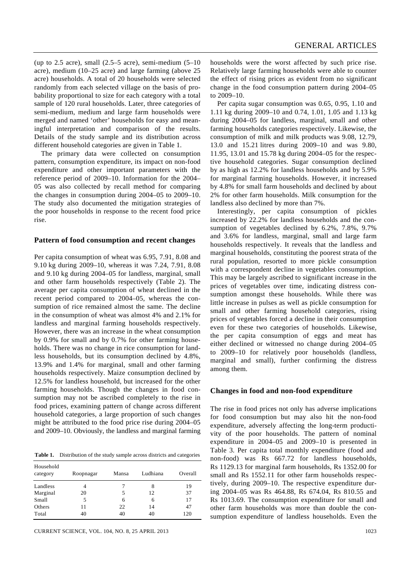(up to 2.5 acre), small  $(2.5-5$  acre), semi-medium  $(5-10)$ acre), medium (10–25 acre) and large farming (above 25 acre) households. A total of 20 households were selected randomly from each selected village on the basis of probability proportional to size for each category with a total sample of 120 rural households. Later, three categories of semi-medium, medium and large farm households were merged and named 'other' households for easy and meaningful interpretation and comparison of the results. Details of the study sample and its distribution across different household categories are given in Table 1.

 The primary data were collected on consumption pattern, consumption expenditure, its impact on non-food expenditure and other important parameters with the reference period of 2009–10. Information for the 2004– 05 was also collected by recall method for comparing the changes in consumption during 2004–05 to 2009–10. The study also documented the mitigation strategies of the poor households in response to the recent food price rise.

#### **Pattern of food consumption and recent changes**

Per capita consumption of wheat was 6.95, 7.91, 8.08 and 9.10 kg during 2009–10, whereas it was 7.24, 7.91, 8.08 and 9.10 kg during 2004–05 for landless, marginal, small and other farm households respectively (Table 2). The average per capita consumption of wheat declined in the recent period compared to 2004–05, whereas the consumption of rice remained almost the same. The decline in the consumption of wheat was almost 4% and 2.1% for landless and marginal farming households respectively. However, there was an increase in the wheat consumption by 0.9% for small and by 0.7% for other farming households. There was no change in rice consumption for landless households, but its consumption declined by 4.8%, 13.9% and 1.4% for marginal, small and other farming households respectively. Maize consumption declined by 12.5% for landless household, but increased for the other farming households. Though the changes in food consumption may not be ascribed completely to the rise in food prices, examining pattern of change across different household categories, a large proportion of such changes might be attributed to the food price rise during 2004–05 and 2009–10. Obviously, the landless and marginal farming

**Table 1.** Distribution of the study sample across districts and categories

| Household<br>category | Roopnagar | Mansa | Ludhiana | Overall |
|-----------------------|-----------|-------|----------|---------|
| Landless              | 4         |       | 8        | 19      |
| Marginal              | 20        | 5     | 12       | 37      |
| Small                 | 5         | 6     | 6        | 17      |
| Others                | 11        | 22    | 14       | 47      |
| Total                 | 40        | 40    | 40       | 120     |

households were the worst affected by such price rise. Relatively large farming households were able to counter the effect of rising prices as evident from no significant change in the food consumption pattern during 2004–05 to 2009–10.

 Per capita sugar consumption was 0.65, 0.95, 1.10 and 1.11 kg during 2009–10 and 0.74, 1.01, 1.05 and 1.13 kg during 2004–05 for landless, marginal, small and other farming households categories respectively. Likewise, the consumption of milk and milk products was 9.08, 12.79, 13.0 and 15.21 litres during 2009–10 and was 9.80, 11.95, 13.01 and 15.78 kg during 2004–05 for the respective household categories. Sugar consumption declined by as high as 12.2% for landless households and by 5.9% for marginal farming households. However, it increased by 4.8% for small farm households and declined by about 2% for other farm households. Milk consumption for the landless also declined by more than 7%.

 Interestingly, per capita consumption of pickles increased by 22.2% for landless households and the consumption of vegetables declined by 6.2%, 7.8%, 9.7% and 3.6% for landless, marginal, small and large farm households respectively. It reveals that the landless and marginal households, constituting the poorest strata of the rural population, resorted to more pickle consumption with a correspondent decline in vegetables consumption. This may be largely ascribed to significant increase in the prices of vegetables over time, indicating distress consumption amongst these households. While there was little increase in pulses as well as pickle consumption for small and other farming household categories, rising prices of vegetables forced a decline in their consumption even for these two categories of households. Likewise, the per capita consumption of eggs and meat has either declined or witnessed no change during 2004–05 to 2009–10 for relatively poor households (landless, marginal and small), further confirming the distress among them.

#### **Changes in food and non-food expenditure**

The rise in food prices not only has adverse implications for food consumption but may also hit the non-food expenditure, adversely affecting the long-term productivity of the poor households. The pattern of nominal expenditure in 2004–05 and 2009–10 is presented in Table 3. Per capita total monthly expenditure (food and non-food) was Rs 667.72 for landless households, Rs 1129.13 for marginal farm households, Rs 1352.00 for small and Rs 1552.11 for other farm households respectively, during 2009–10. The respective expenditure during 2004–05 was Rs 464.88, Rs 674.04, Rs 810.55 and Rs 1013.69. The consumption expenditure for small and other farm households was more than double the consumption expenditure of landless households. Even the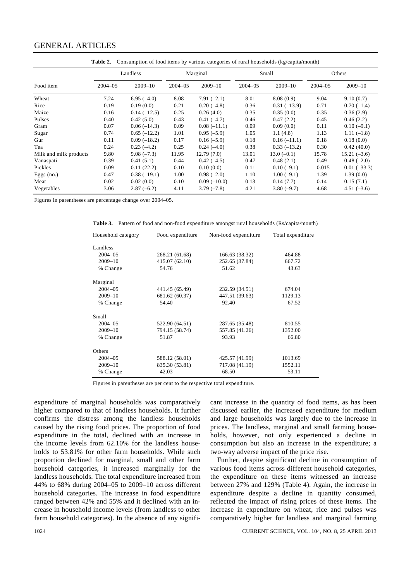## GENERAL ARTICLES

| Consumption of food items by various categories of rural households (kg/capita/month)<br>Table 2. |             |               |             |               |             |               |             |               |
|---------------------------------------------------------------------------------------------------|-------------|---------------|-------------|---------------|-------------|---------------|-------------|---------------|
|                                                                                                   | Landless    |               | Marginal    |               | Small       |               | Others      |               |
| Food item                                                                                         | $2004 - 05$ | $2009 - 10$   | $2004 - 05$ | $2009 - 10$   | $2004 - 05$ | $2009 - 10$   | $2004 - 05$ | $2009 - 10$   |
| Wheat                                                                                             | 7.24        | $6.95(-4.0)$  | 8.08        | $7.91(-2.1)$  | 8.01        | 8.08(0.9)     | 9.04        | 9.10(0.7)     |
| Rice                                                                                              | 0.19        | 0.19(0.0)     | 0.21        | $0.20(-4.8)$  | 0.36        | $0.31(-13.9)$ | 0.71        | $0.70(-1.4)$  |
| Maize                                                                                             | 0.16        | $0.14(-12.5)$ | 0.25        | 0.26(4.0)     | 0.35        | 0.35(0.0)     | 0.35        | 0.36(2.9)     |
| Pulses                                                                                            | 0.40        | 0.42(5.0)     | 0.43        | $0.41(-4.7)$  | 0.46        | 0.47(2.2)     | 0.45        | 0.46(2.2)     |
| Gram                                                                                              | 0.07        | $0.06(-14.3)$ | 0.09        | $0.08(-11.1)$ | 0.09        | 0.09(0.0)     | 0.11        | $0.10(-9.1)$  |
| Sugar                                                                                             | 0.74        | $0.65(-12.2)$ | 1.01        | $0.95(-5.9)$  | 1.05        | 1.1(4.8)      | 1.13        | $1.11(-1.8)$  |
| Gur                                                                                               | 0.11        | $0.09(-18.2)$ | 0.17        | $0.16(-5.9)$  | 0.18        | $0.16(-11.1)$ | 0.18        | 0.18(0.0)     |
| Tea                                                                                               | 0.24        | $0.23(-4.2)$  | 0.25        | $0.24(-4.0)$  | 0.38        | $0.33(-13.2)$ | 0.30        | 0.42(40.0)    |
| Milk and milk products                                                                            | 9.80        | $9.08(-7.3)$  | 11.95       | 12.79(7.0)    | 13.01       | $13.0(-0.1)$  | 15.78       | $15.21(-3.6)$ |
| Vanaspati                                                                                         | 0.39        | 0.41(5.1)     | 0.44        | $0.42(-4.5)$  | 0.47        | 0.48(2.1)     | 0.49        | $0.48(-2.0)$  |
| Pickles                                                                                           | 0.09        | 0.11(22.2)    | 0.10        | 0.10(0.0)     | 0.11        | $0.10(-9.1)$  | 0.015       | $0.01(-33.3)$ |
| Eggs $(no.)$                                                                                      | 0.47        | $0.38(-19.1)$ | 1.00        | $0.98(-2.0)$  | 1.10        | $1.00(-9.1)$  | 1.39        | 1.39(0.0)     |
| Meat                                                                                              | 0.02        | 0.02(0.0)     | 0.10        | $0.09(-10.0)$ | 0.13        | 0.14(7.7)     | 0.14        | 0.15(7.1)     |
| Vegetables                                                                                        | 3.06        | $2.87(-6.2)$  | 4.11        | $3.79(-7.8)$  | 4.21        | $3.80(-9.7)$  | 4.68        | $4.51(-3.6)$  |

Figures in parentheses are percentage change over 2004–05.

**Table 3.** Pattern of food and non-food expenditure amongst rural households (Rs/capita/month)

| Household category | Non-food expenditure<br>Food expenditure |                | Total expenditure |
|--------------------|------------------------------------------|----------------|-------------------|
| Landless           |                                          |                |                   |
| $2004 - 05$        | 268.21 (61.68)                           | 166.63 (38.32) | 464.88            |
| $2009 - 10$        | 415.07 (62.10)                           | 252.65 (37.84) | 667.72            |
| % Change           | 54.76                                    | 51.62          | 43.63             |
| Marginal           |                                          |                |                   |
| $2004 - 05$        | 441.45 (65.49)                           | 232.59 (34.51) | 674.04            |
| $2009 - 10$        | 681.62 (60.37)                           | 447.51 (39.63) | 1129.13           |
| % Change           | 54.40                                    | 92.40          | 67.52             |
| Small              |                                          |                |                   |
| $2004 - 05$        | 522.90 (64.51)                           | 287.65 (35.48) | 810.55            |
| $2009 - 10$        | 794.15 (58.74)                           | 557.85 (41.26) | 1352.00           |
| % Change           | 51.87                                    | 93.93          | 66.80             |
| Others             |                                          |                |                   |
| $2004 - 05$        | 588.12 (58.01)                           | 425.57 (41.99) | 1013.69           |
| $2009 - 10$        | 835.30 (53.81)                           | 717.08 (41.19) | 1552.11           |
| % Change           | 42.03                                    | 68.50          | 53.11             |

Figures in parentheses are per cent to the respective total expenditure.

expenditure of marginal households was comparatively higher compared to that of landless households. It further confirms the distress among the landless households caused by the rising food prices. The proportion of food expenditure in the total, declined with an increase in the income levels from 62.10% for the landless households to 53.81% for other farm households. While such proportion declined for marginal, small and other farm household categories, it increased marginally for the landless households. The total expenditure increased from 44% to 68% during 2004–05 to 2009–10 across different household categories. The increase in food expenditure ranged between 42% and 55% and it declined with an increase in household income levels (from landless to other farm household categories). In the absence of any significant increase in the quantity of food items, as has been discussed earlier, the increased expenditure for medium and large households was largely due to the increase in prices. The landless, marginal and small farming households, however, not only experienced a decline in consumption but also an increase in the expenditure; a two-way adverse impact of the price rise.

 Further, despite significant decline in consumption of various food items across different household categories, the expenditure on these items witnessed an increase between 27% and 129% (Table 4). Again, the increase in expenditure despite a decline in quantity consumed, reflected the impact of rising prices of these items. The increase in expenditure on wheat, rice and pulses was comparatively higher for landless and marginal farming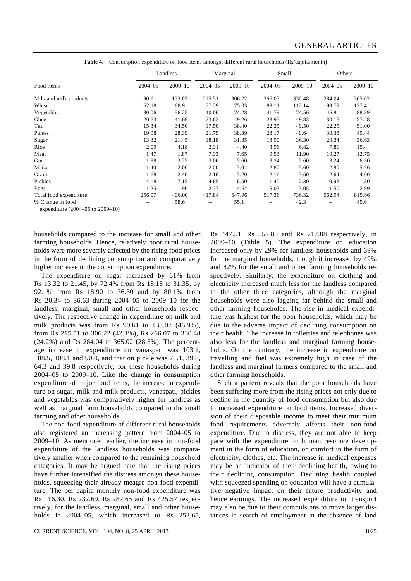|                                                      | Landless    |             | Marginal    |             | Small       |             | Others      |             |
|------------------------------------------------------|-------------|-------------|-------------|-------------|-------------|-------------|-------------|-------------|
| Food items                                           | $2004 - 05$ | $2009 - 10$ | $2004 - 05$ | $2009 - 10$ | $2004 - 05$ | $2009 - 10$ | $2004 - 05$ | $2009 - 10$ |
| Milk and milk products                               | 90.61       | 133.07      | 215.51      | 306.22      | 266.07      | 330.48      | 284.04      | 365.02      |
| Wheat                                                | 52.18       | 68.9        | 57.29       | 75.03       | 88.11       | 112.14      | 99.79       | 127.4       |
| Vegetables                                           | 30.06       | 56.25       | 40.06       | 74.28       | 41.79       | 74.56       | 46.8        | 88.39       |
| Ghee                                                 | 20.53       | 41.69       | 23.63       | 49.26       | 23.95       | 49.83       | 30.15       | 57.28       |
| Tea                                                  | 15.34       | 34.50       | 17.50       | 38.40       | 22.25       | 49.50       | 22.25       | 51.00       |
| Pulses                                               | 19.98       | 28.39       | 21.79       | 38.39       | 28.17       | 40.64       | 30.38       | 45.44       |
| Sugar                                                | 13.32       | 21.45       | 18.18       | 31.35       | 18.90       | 36.30       | 20.34       | 36.63       |
| Rice                                                 | 2.09        | 4.18        | 2.31        | 4.40        | 3.96        | 6.82        | 7.81        | 15.4        |
| Meat                                                 | 1.47        | 1.87        | 7.33        | 7.65        | 9.53        | 11.90       | 10.27       | 12.75       |
| Gur                                                  | 1.98        | 2.25        | 3.06        | 5.60        | 3.24        | 5.60        | 3.24        | 6.30        |
| Maize                                                | 1.40        | 2.00        | 2.00        | 3.04        | 2.80        | 5.60        | 2.80        | 5.76        |
| Gram                                                 | 1.68        | 2.40        | 2.16        | 3.20        | 2.16        | 3.60        | 2.64        | 4.00        |
| Pickles                                              | 4.18        | 7.15        | 4.65        | 6.50        | 1.40        | 2.30        | 0.93        | 1.30        |
| Eggs                                                 | 1.25        | 1.90        | 2.37        | 4.64        | 5.03        | 7.05        | 1.50        | 2.99        |
| Total food expenditure                               | 256.07      | 406.00      | 417.84      | 647.96      | 517.36      | 736.32      | 562.94      | 819.66      |
| % Change in food<br>expenditure (2004–05 to 2009–10) |             | 58.6        |             | 55.1        |             | 42.3        |             | 45.6        |

**Table 4.** Consumption expenditure on food items amongst different rural households (Rs/capita/month)

households compared to the increase for small and other farming households. Hence, relatively poor rural households were more severely affected by the rising food prices in the form of declining consumption and comparatively higher increase in the consumption expenditure.

 The expenditure on sugar increased by 61% from Rs 13.32 to 21.45, by 72.4% from Rs 18.18 to 31.35, by 92.1% from Rs 18.90 to 36.30 and by 80.1% from Rs 20.34 to 36.63 during 2004–05 to 2009–10 for the landless, marginal, small and other households respectively. The respective change in expenditure on milk and milk products was from Rs 90.61 to 133.07 (46.9%), from Rs 215.51 to 306.22 (42.1%), Rs 266.07 to 330.48 (24.2%) and Rs 284.04 to 365.02 (28.5%). The percentage increase in expenditure on vanaspati was 103.1, 108.5, 108.1 and 90.0, and that on pickle was 71.1, 39.8, 64.3 and 39.8 respectively, for these households during 2004–05 to 2009–10. Like the change in consumption expenditure of major food items, the increase in expenditure on sugar, milk and milk products, vanaspati, pickles and vegetables was comparatively higher for landless as well as marginal farm households compared to the small farming and other households.

 The non-food expenditure of different rural households also registered an increasing pattern from 2004–05 to 2009–10. As mentioned earlier, the increase in non-food expenditure of the landless households was comparatively smaller when compared to the remaining household categories. It may be argued here that the rising prices have further intensified the distress amongst these households, squeezing their already meagre non-food expenditure. The per capita monthly non-food expenditure was Rs 116.30, Rs 232.69, Rs 287.65 and Rs 425.57 respectively, for the landless, marginal, small and other households in 2004–05, which increased to Rs 252.65, Rs 447.51, Rs 557.85 and Rs 717.08 respectively, in 2009–10 (Table 5). The expenditure on education increased only by 29% for landless households and 39% for the marginal households, though it increased by 49% and 82% for the small and other farming households respectively. Similarly, the expenditure on clothing and electricity increased much less for the landless compared to the other three categories, although the marginal households were also lagging far behind the small and other farming households. The rise in medical expenditure was highest for the poor households, which may be due to the adverse impact of declining consumption on their health. The increase in toiletries and telephones was also less for the landless and marginal farming households. On the contrary, the increase in expenditure on travelling and fuel was extremely high in case of the landless and marginal farmers compared to the small and other farming households.

 Such a pattern reveals that the poor households have been suffering more from the rising prices not only due to decline in the quantity of food consumption but also due to increased expenditure on food items. Increased diversion of their disposable income to meet their minimum food requirements adversely affects their non-food expenditure. Due to distress, they are not able to keep pace with the expenditure on human resource development in the form of education, on comfort in the form of electricity, clothes, etc. The increase in medical expenses may be an indicator of their declining health, owing to their declining consumption. Declining health coupled with squeezed spending on education will have a cumulative negative impact on their future productivity and hence earnings. The increased expenditure on transport may also be due to their compulsions to move larger distances in search of employment in the absence of land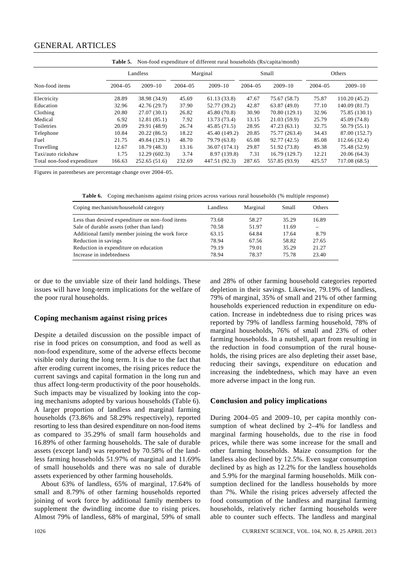## GENERAL ARTICLES

| Non-food expenditure of different rural households (Rs/capita/month)<br>Table 5. |             |               |             |               |              |               |              |               |
|----------------------------------------------------------------------------------|-------------|---------------|-------------|---------------|--------------|---------------|--------------|---------------|
|                                                                                  | Landless    |               | Marginal    |               | Small        |               | Others       |               |
| Non-food items                                                                   | $2004 - 05$ | $2009 - 10$   | $2004 - 05$ | $2009 - 10$   | $2004 - 0.5$ | $2009 - 10$   | $2004 - 0.5$ | $2009 - 10$   |
| Electricity                                                                      | 28.89       | 38.98 (34.9)  | 45.69       | 61.13(33.8)   | 47.67        | 75.67 (58.7)  | 75.87        | 110.20(45.2)  |
| Education                                                                        | 32.96       | 42.76 (29.7)  | 37.90       | 52.77 (39.2)  | 42.87        | 63.87(49.0)   | 77.10        | 140.09 (81.7) |
| Clothing                                                                         | 20.80       | 27.07(30.1)   | 26.82       | 45.80 (70.8)  | 30.90        | 70.80 (129.1) | 32.96        | 75.85 (130.1) |
| Medical                                                                          | 6.92        | 12.81(85.1)   | 7.92        | 13.73 (73.4)  | 13.15        | 21.03(59.9)   | 25.79        | 45.09 (74.8)  |
| Toiletries                                                                       | 20.09       | 29.91 (48.9)  | 26.74       | 45.85(71.5)   | 28.95        | 47.23(63.1)   | 32.75        | 50.79 (55.1)  |
| Telephone                                                                        | 10.84       | 20.22(86.5)   | 18.22       | 45.40 (149.2) | 20.85        | 75.77 (263.4) | 34.43        | 87.00 (152.7) |
| Fuel                                                                             | 21.75       | 49.84 (129.1) | 48.70       | 79.79 (63.8)  | 65.08        | 92.77(42.5)   | 85.08        | 112.66 (32.4) |
| Travelling                                                                       | 12.67       | 18.79 (48.3)  | 13.16       | 36.07 (174.1) | 29.87        | 51.92 (73.8)  | 49.38        | 75.48 (52.9)  |
| Taxi/auto rickshaw                                                               | 1.75        | 12.29(602.3)  | 3.74        | 8.97 (139.8)  | 7.31         | 16.79 (129.7) | 12.21        | 20.06(64.3)   |
| Total non-food expenditure                                                       | 166.63      | 252.65(51.6)  | 232.69      | 447.51 (92.3) | 287.65       | 557.85 (93.9) | 425.57       | 717.08 (68.5) |

Figures in parentheses are percentage change over 2004–05.

**Table 6.** Coping mechanisms against rising prices across various rural households (% multiple response)

| Coping mechanism/household category             | Landless | Marginal | Small | Others |
|-------------------------------------------------|----------|----------|-------|--------|
| Less than desired expenditure on non-food items | 73.68    | 58.27    | 35.29 | 16.89  |
| Sale of durable assets (other than land)        | 70.58    | 51.97    | 11.69 |        |
| Additional family member joining the work force | 63.15    | 64.84    | 17.64 | 8.79   |
| Reduction in savings                            | 78.94    | 67.56    | 58.82 | 27.65  |
| Reduction in expenditure on education           | 79.19    | 79.01    | 35.29 | 21.27  |
| Increase in indebtedness                        | 78.94    | 78.37    | 75.78 | 23.40  |

or due to the unviable size of their land holdings. These issues will have long-term implications for the welfare of the poor rural households.

#### **Coping mechanism against rising prices**

Despite a detailed discussion on the possible impact of rise in food prices on consumption, and food as well as non-food expenditure, some of the adverse effects become visible only during the long term. It is due to the fact that after eroding current incomes, the rising prices reduce the current savings and capital formation in the long run and thus affect long-term productivity of the poor households. Such impacts may be visualized by looking into the coping mechanisms adopted by various households (Table 6). A larger proportion of landless and marginal farming households (73.86% and 58.29% respectively), reported resorting to less than desired expenditure on non-food items as compared to 35.29% of small farm households and 16.89% of other farming households. The sale of durable assets (except land) was reported by 70.58% of the landless farming households 51.97% of marginal and 11.69% of small households and there was no sale of durable assets experienced by other farming households.

 About 63% of landless, 65% of marginal, 17.64% of small and 8.79% of other farming households reported joining of work force by additional family members to supplement the dwindling income due to rising prices. Almost 79% of landless, 68% of marginal, 59% of small and 28% of other farming household categories reported depletion in their savings. Likewise, 79.19% of landless, 79% of marginal, 35% of small and 21% of other farming households experienced reduction in expenditure on education. Increase in indebtedness due to rising prices was reported by 79% of landless farming household, 78% of marginal households, 76% of small and 23% of other farming households. In a nutshell, apart from resulting in the reduction in food consumption of the rural households, the rising prices are also depleting their asset base, reducing their savings, expenditure on education and increasing the indebtedness, which may have an even more adverse impact in the long run.

#### **Conclusion and policy implications**

During 2004–05 and 2009–10, per capita monthly consumption of wheat declined by 2–4% for landless and marginal farming households, due to the rise in food prices, while there was some increase for the small and other farming households. Maize consumption for the landless also declined by 12.5%. Even sugar consumption declined by as high as 12.2% for the landless households and 5.9% for the marginal farming households. Milk consumption declined for the landless households by more than 7%. While the rising prices adversely affected the food consumption of the landless and marginal farming households, relatively richer farming households were able to counter such effects. The landless and marginal